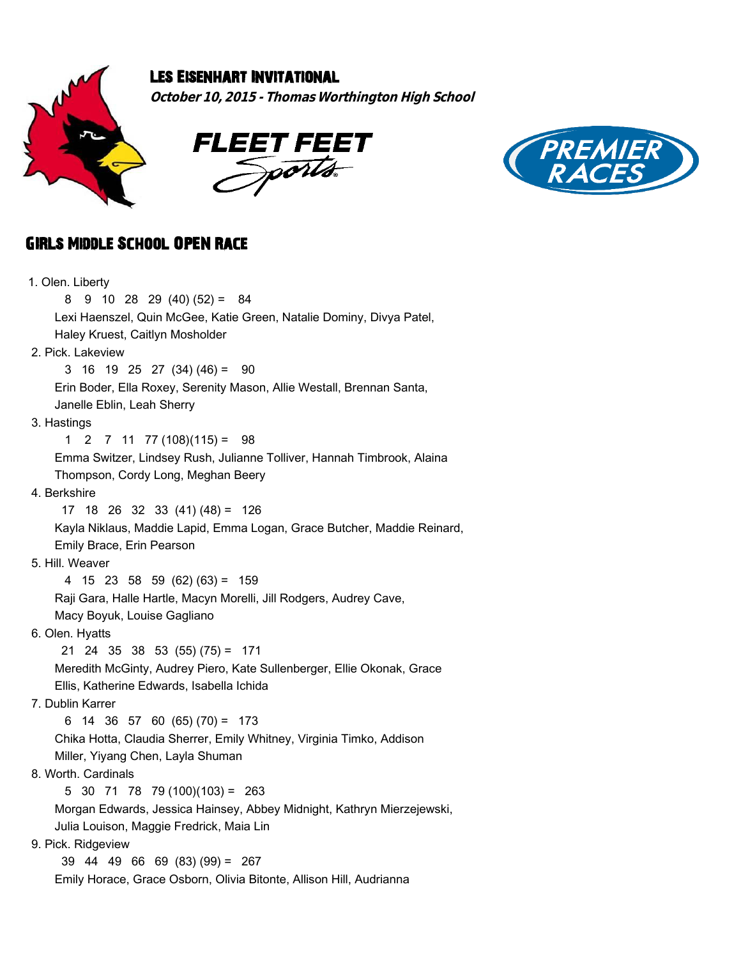

## Les Eisenhart Invitational

**October 10, 2015 - Thomas Worthington High School**





## GIRLs Middle School OPEN Race

| 1. Olen. Liberty                                                        |
|-------------------------------------------------------------------------|
| $9$ 10 28 29 (40) (52) = 84<br>8                                        |
| Lexi Haenszel, Quin McGee, Katie Green, Natalie Dominy, Divya Patel,    |
| Haley Kruest, Caitlyn Mosholder                                         |
| 2. Pick. Lakeview                                                       |
| 3 16 19 25 27 (34) (46) = 90                                            |
| Erin Boder, Ella Roxey, Serenity Mason, Allie Westall, Brennan Santa,   |
| Janelle Eblin, Leah Sherry                                              |
| 3. Hastings                                                             |
| $7 \t11 \t77 \t(108)(115) =$<br>1<br>2<br>-98                           |
| Emma Switzer, Lindsey Rush, Julianne Tolliver, Hannah Timbrook, Alaina  |
| Thompson, Cordy Long, Meghan Beery                                      |
| 4. Berkshire                                                            |
| $17$ 18 26 32 33 (41) (48) = 126                                        |
| Kayla Niklaus, Maddie Lapid, Emma Logan, Grace Butcher, Maddie Reinard, |
| Emily Brace, Erin Pearson                                               |
| 5. Hill. Weaver                                                         |
| 4 $15$ 23 58 59 (62) (63) = 159                                         |
| Raji Gara, Halle Hartle, Macyn Morelli, Jill Rodgers, Audrey Cave,      |
| Macy Boyuk, Louise Gagliano                                             |
| 6. Olen. Hyatts                                                         |
| $21$ 24 35 38 53 (55) (75) = 171                                        |
| Meredith McGinty, Audrey Piero, Kate Sullenberger, Ellie Okonak, Grace  |
| Ellis, Katherine Edwards, Isabella Ichida                               |
| 7. Dublin Karrer                                                        |
| $6$ 14 36 57 60 (65) (70) = 173                                         |
| Chika Hotta, Claudia Sherrer, Emily Whitney, Virginia Timko, Addison    |
| Miller, Yiyang Chen, Layla Shuman                                       |
| 8. Worth. Cardinals                                                     |
| 5 30 71 78 79 (100) (103) = 263                                         |
| Morgan Edwards, Jessica Hainsey, Abbey Midnight, Kathryn Mierzejewski,  |
| Julia Louison, Maggie Fredrick, Maia Lin                                |
| 9. Pick. Ridgeview                                                      |
| $39$ 44 49 66 69 (83) (99) = 267                                        |
| Emily Horace, Grace Osborn, Olivia Bitonte, Allison Hill, Audrianna     |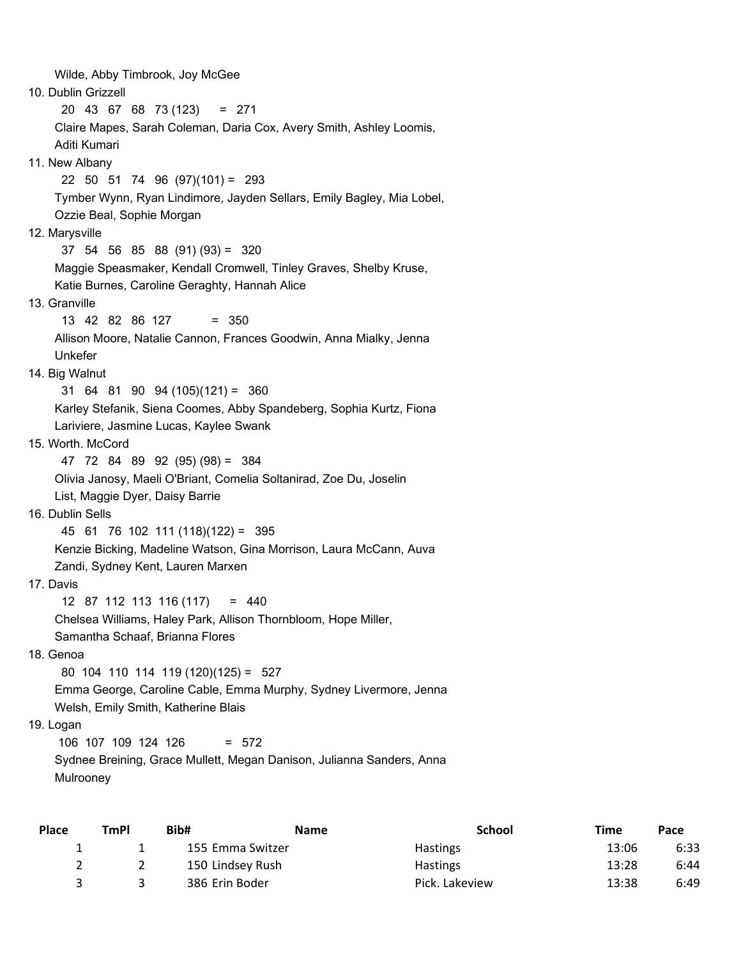Wilde, Abby Timbrook, Joy McGee 10. Dublin Grizzell 20 43 67 68 73 (123) = 271 Claire Mapes, Sarah Coleman, Daria Cox, Avery Smith, Ashley Loomis, Aditi Kumari 11. New Albany 22 50 51 74 96 (97)(101) = 293 Tymber Wynn, Ryan Lindimore, Jayden Sellars, Emily Bagley, Mia Lobel, Ozzie Beal, Sophie Morgan 12. Marysville 37 54 56 85 88 (91) (93) = 320 Maggie Speasmaker, Kendall Cromwell, Tinley Graves, Shelby Kruse, Katie Burnes, Caroline Geraghty, Hannah Alice 13. Granville 13 42 82 86 127 = 350 Allison Moore, Natalie Cannon, Frances Goodwin, Anna Mialky, Jenna Unkefer 14. Big Walnut 31 64 81 90 94 (105)(121) = 360 Karley Stefanik, Siena Coomes, Abby Spandeberg, Sophia Kurtz, Fiona Lariviere, Jasmine Lucas, Kaylee Swank 15. Worth. McCord 47 72 84 89 92 (95) (98) = 384 Olivia Janosy, Maeli O'Briant, Comelia Soltanirad, Zoe Du, Joselin List, Maggie Dyer, Daisy Barrie 16. Dublin Sells 45 61 76 102 111 (118)(122) = 395 Kenzie Bicking, Madeline Watson, Gina Morrison, Laura McCann, Auva Zandi, Sydney Kent, Lauren Marxen 17. Davis 12 87 112 113 116 (117) = 440 Chelsea Williams, Haley Park, Allison Thornbloom, Hope Miller, Samantha Schaaf, Brianna Flores 18. Genoa 80 104 110 114 119 (120)(125) = 527 Emma George, Caroline Cable, Emma Murphy, Sydney Livermore, Jenna Welsh, Emily Smith, Katherine Blais 19. Logan 106 107 109 124 126 = 572 Sydnee Breining, Grace Mullett, Megan Danison, Julianna Sanders, Anna

Mulrooney

| Place | <b>TmPI</b> | Bib#             | <b>Name</b> | <b>School</b>   | Time  | Pace |
|-------|-------------|------------------|-------------|-----------------|-------|------|
|       |             | 155 Emma Switzer |             | <b>Hastings</b> | 13:06 | 6:33 |
|       |             | 150 Lindsey Rush |             | <b>Hastings</b> | 13:28 | 6:44 |
|       |             | 386 Erin Boder   |             | Pick. Lakeview  | 13:38 | 6:49 |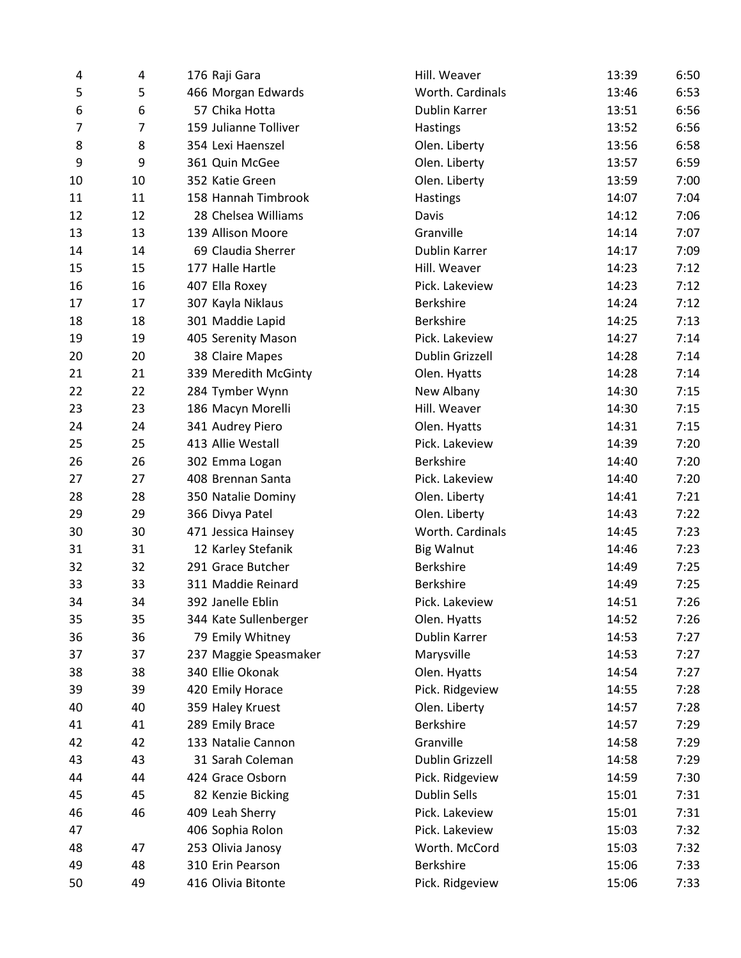| 4  | 4  | 176 Raji Gara         | Hill. Weaver        | 13:39 | 6:50 |
|----|----|-----------------------|---------------------|-------|------|
| 5  | 5  | 466 Morgan Edwards    | Worth. Cardinals    | 13:46 | 6:53 |
| 6  | 6  | 57 Chika Hotta        | Dublin Karrer       | 13:51 | 6:56 |
| 7  | 7  | 159 Julianne Tolliver | Hastings            | 13:52 | 6:56 |
| 8  | 8  | 354 Lexi Haenszel     | Olen. Liberty       | 13:56 | 6:58 |
| 9  | 9  | 361 Quin McGee        | Olen. Liberty       | 13:57 | 6:59 |
| 10 | 10 | 352 Katie Green       | Olen. Liberty       | 13:59 | 7:00 |
| 11 | 11 | 158 Hannah Timbrook   | <b>Hastings</b>     | 14:07 | 7:04 |
| 12 | 12 | 28 Chelsea Williams   | Davis               | 14:12 | 7:06 |
| 13 | 13 | 139 Allison Moore     | Granville           | 14:14 | 7:07 |
| 14 | 14 | 69 Claudia Sherrer    | Dublin Karrer       | 14:17 | 7:09 |
| 15 | 15 | 177 Halle Hartle      | Hill. Weaver        | 14:23 | 7:12 |
| 16 | 16 | 407 Ella Roxey        | Pick. Lakeview      | 14:23 | 7:12 |
| 17 | 17 | 307 Kayla Niklaus     | Berkshire           | 14:24 | 7:12 |
| 18 | 18 | 301 Maddie Lapid      | <b>Berkshire</b>    | 14:25 | 7:13 |
| 19 | 19 | 405 Serenity Mason    | Pick. Lakeview      | 14:27 | 7:14 |
| 20 | 20 | 38 Claire Mapes       | Dublin Grizzell     | 14:28 | 7:14 |
| 21 | 21 | 339 Meredith McGinty  | Olen. Hyatts        | 14:28 | 7:14 |
| 22 | 22 | 284 Tymber Wynn       | New Albany          | 14:30 | 7:15 |
| 23 | 23 | 186 Macyn Morelli     | Hill. Weaver        | 14:30 | 7:15 |
| 24 | 24 | 341 Audrey Piero      | Olen. Hyatts        | 14:31 | 7:15 |
| 25 | 25 | 413 Allie Westall     | Pick. Lakeview      | 14:39 | 7:20 |
| 26 | 26 | 302 Emma Logan        | Berkshire           | 14:40 | 7:20 |
| 27 | 27 | 408 Brennan Santa     | Pick. Lakeview      | 14:40 | 7:20 |
| 28 | 28 | 350 Natalie Dominy    | Olen. Liberty       | 14:41 | 7:21 |
| 29 | 29 | 366 Divya Patel       | Olen. Liberty       | 14:43 | 7:22 |
| 30 | 30 | 471 Jessica Hainsey   | Worth. Cardinals    | 14:45 | 7:23 |
| 31 | 31 | 12 Karley Stefanik    | <b>Big Walnut</b>   | 14:46 | 7:23 |
| 32 | 32 | 291 Grace Butcher     | <b>Berkshire</b>    | 14:49 | 7:25 |
| 33 | 33 | 311 Maddie Reinard    | Berkshire           | 14:49 | 7:25 |
| 34 | 34 | 392 Janelle Eblin     | Pick. Lakeview      | 14:51 | 7:26 |
| 35 | 35 | 344 Kate Sullenberger | Olen. Hyatts        | 14:52 | 7:26 |
| 36 | 36 | 79 Emily Whitney      | Dublin Karrer       | 14:53 | 7:27 |
| 37 | 37 | 237 Maggie Speasmaker | Marysville          | 14:53 | 7:27 |
| 38 | 38 | 340 Ellie Okonak      | Olen. Hyatts        | 14:54 | 7:27 |
| 39 | 39 | 420 Emily Horace      | Pick. Ridgeview     | 14:55 | 7:28 |
| 40 | 40 | 359 Haley Kruest      | Olen. Liberty       | 14:57 | 7:28 |
| 41 | 41 | 289 Emily Brace       | Berkshire           | 14:57 | 7:29 |
| 42 | 42 | 133 Natalie Cannon    | Granville           | 14:58 | 7:29 |
| 43 | 43 | 31 Sarah Coleman      | Dublin Grizzell     | 14:58 | 7:29 |
| 44 | 44 | 424 Grace Osborn      | Pick. Ridgeview     | 14:59 | 7:30 |
| 45 | 45 | 82 Kenzie Bicking     | <b>Dublin Sells</b> | 15:01 | 7:31 |
| 46 | 46 | 409 Leah Sherry       | Pick. Lakeview      | 15:01 | 7:31 |
| 47 |    | 406 Sophia Rolon      | Pick. Lakeview      | 15:03 | 7:32 |
| 48 | 47 | 253 Olivia Janosy     | Worth. McCord       | 15:03 | 7:32 |
| 49 | 48 | 310 Erin Pearson      | Berkshire           | 15:06 | 7:33 |
| 50 | 49 | 416 Olivia Bitonte    | Pick. Ridgeview     | 15:06 | 7:33 |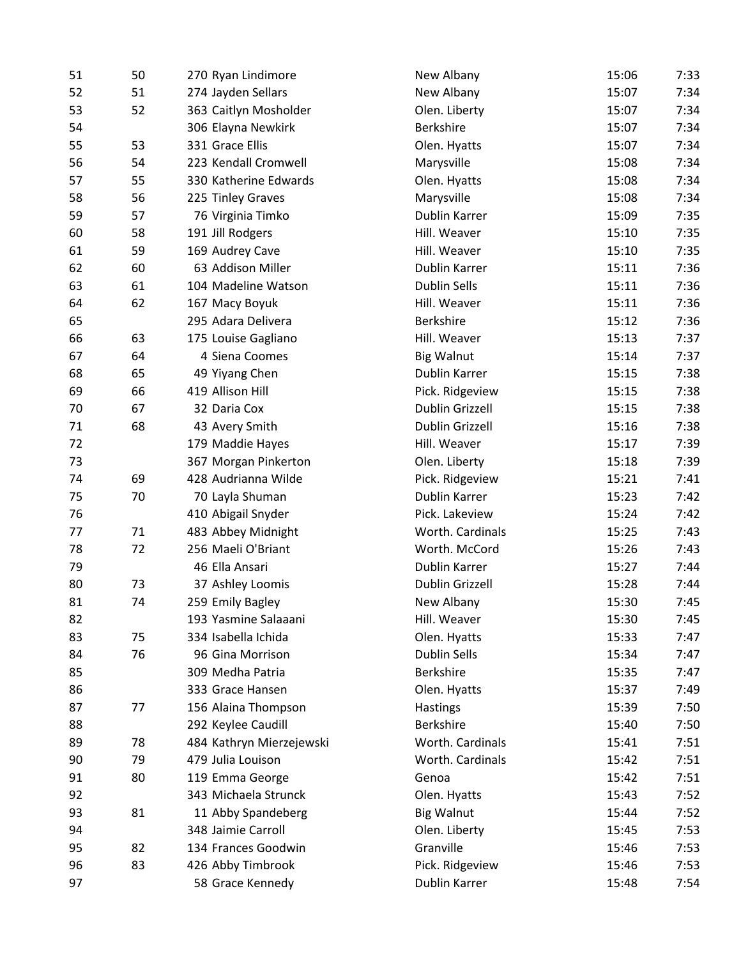| 51 | 50 | 270 Ryan Lindimore       | New Albany             | 15:06<br>7:33 |
|----|----|--------------------------|------------------------|---------------|
| 52 | 51 | 274 Jayden Sellars       | New Albany             | 15:07<br>7:34 |
| 53 | 52 | 363 Caitlyn Mosholder    | Olen. Liberty          | 15:07<br>7:34 |
| 54 |    | 306 Elayna Newkirk       | <b>Berkshire</b>       | 15:07<br>7:34 |
| 55 | 53 | 331 Grace Ellis          | Olen. Hyatts           | 7:34<br>15:07 |
| 56 | 54 | 223 Kendall Cromwell     | Marysville             | 15:08<br>7:34 |
| 57 | 55 | 330 Katherine Edwards    | Olen. Hyatts           | 15:08<br>7:34 |
| 58 | 56 | 225 Tinley Graves        | Marysville             | 15:08<br>7:34 |
| 59 | 57 | 76 Virginia Timko        | Dublin Karrer          | 7:35<br>15:09 |
| 60 | 58 | 191 Jill Rodgers         | Hill. Weaver           | 15:10<br>7:35 |
| 61 | 59 | 169 Audrey Cave          | Hill. Weaver           | 7:35<br>15:10 |
| 62 | 60 | 63 Addison Miller        | Dublin Karrer          | 15:11<br>7:36 |
| 63 | 61 | 104 Madeline Watson      | <b>Dublin Sells</b>    | 15:11<br>7:36 |
| 64 | 62 | 167 Macy Boyuk           | Hill. Weaver           | 15:11<br>7:36 |
| 65 |    | 295 Adara Delivera       | <b>Berkshire</b>       | 15:12<br>7:36 |
| 66 | 63 | 175 Louise Gagliano      | Hill. Weaver           | 15:13<br>7:37 |
| 67 | 64 | 4 Siena Coomes           | <b>Big Walnut</b>      | 15:14<br>7:37 |
| 68 | 65 | 49 Yiyang Chen           | Dublin Karrer          | 7:38<br>15:15 |
| 69 | 66 | 419 Allison Hill         | Pick. Ridgeview        | 15:15<br>7:38 |
| 70 | 67 | 32 Daria Cox             | <b>Dublin Grizzell</b> | 15:15<br>7:38 |
| 71 | 68 | 43 Avery Smith           | Dublin Grizzell        | 15:16<br>7:38 |
| 72 |    | 179 Maddie Hayes         | Hill. Weaver           | 7:39<br>15:17 |
| 73 |    | 367 Morgan Pinkerton     | Olen. Liberty          | 15:18<br>7:39 |
| 74 | 69 | 428 Audrianna Wilde      | Pick. Ridgeview        | 15:21<br>7:41 |
| 75 | 70 | 70 Layla Shuman          | Dublin Karrer          | 15:23<br>7:42 |
| 76 |    | 410 Abigail Snyder       | Pick. Lakeview         | 15:24<br>7:42 |
| 77 | 71 | 483 Abbey Midnight       | Worth. Cardinals       | 15:25<br>7:43 |
| 78 | 72 | 256 Maeli O'Briant       | Worth. McCord          | 15:26<br>7:43 |
| 79 |    | 46 Ella Ansari           | Dublin Karrer          | 15:27<br>7:44 |
| 80 | 73 | 37 Ashley Loomis         | <b>Dublin Grizzell</b> | 15:28<br>7:44 |
| 81 | 74 | 259 Emily Bagley         | New Albany             | 15:30<br>7:45 |
| 82 |    | 193 Yasmine Salaaani     | Hill. Weaver           | 15:30<br>7:45 |
| 83 | 75 | 334 Isabella Ichida      | Olen. Hyatts           | 15:33<br>7:47 |
| 84 | 76 | 96 Gina Morrison         | Dublin Sells           | 15:34<br>7:47 |
| 85 |    | 309 Medha Patria         | Berkshire              | 15:35<br>7:47 |
| 86 |    | 333 Grace Hansen         | Olen. Hyatts           | 15:37<br>7:49 |
| 87 | 77 | 156 Alaina Thompson      | Hastings               | 15:39<br>7:50 |
| 88 |    | 292 Keylee Caudill       | Berkshire              | 15:40<br>7:50 |
| 89 | 78 | 484 Kathryn Mierzejewski | Worth. Cardinals       | 15:41<br>7:51 |
| 90 | 79 | 479 Julia Louison        | Worth. Cardinals       | 7:51<br>15:42 |
| 91 | 80 | 119 Emma George          | Genoa                  | 15:42<br>7:51 |
| 92 |    | 343 Michaela Strunck     | Olen. Hyatts           | 15:43<br>7:52 |
| 93 | 81 | 11 Abby Spandeberg       | <b>Big Walnut</b>      | 15:44<br>7:52 |
| 94 |    | 348 Jaimie Carroll       | Olen. Liberty          | 15:45<br>7:53 |
| 95 | 82 | 134 Frances Goodwin      | Granville              | 15:46<br>7:53 |
| 96 | 83 | 426 Abby Timbrook        | Pick. Ridgeview        | 15:46<br>7:53 |
| 97 |    | 58 Grace Kennedy         | Dublin Karrer          | 15:48<br>7:54 |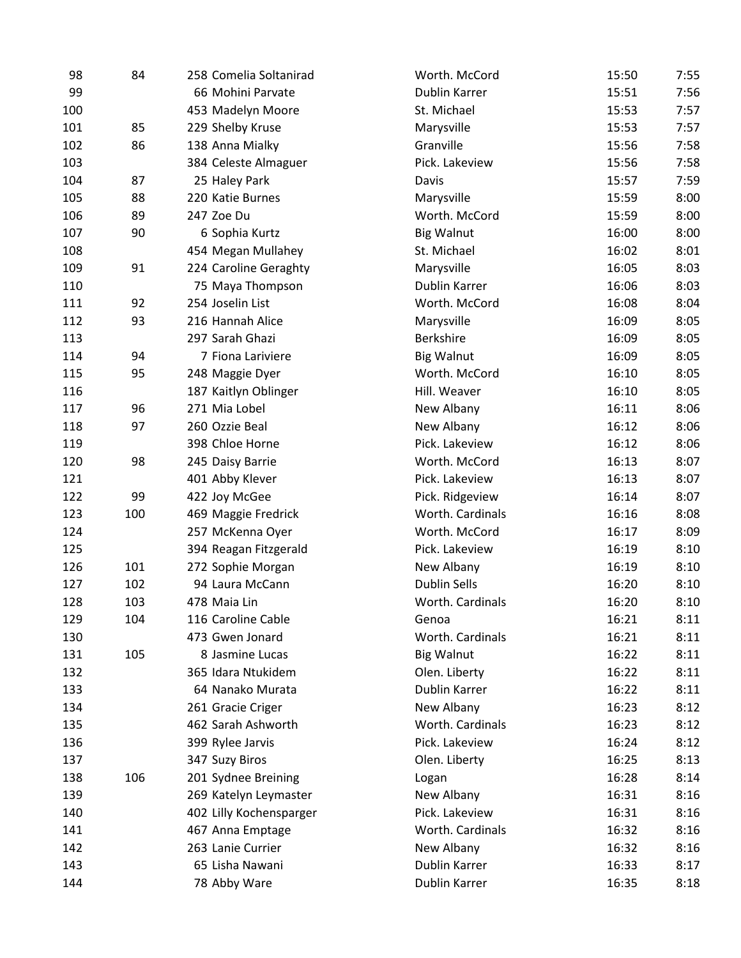| 98  | 84  | 258 Comelia Soltanirad  | Worth. McCord       | 15:50 | 7:55 |
|-----|-----|-------------------------|---------------------|-------|------|
| 99  |     | 66 Mohini Parvate       | Dublin Karrer       | 15:51 | 7:56 |
| 100 |     | 453 Madelyn Moore       | St. Michael         | 15:53 | 7:57 |
| 101 | 85  | 229 Shelby Kruse        | Marysville          | 15:53 | 7:57 |
| 102 | 86  | 138 Anna Mialky         | Granville           | 15:56 | 7:58 |
| 103 |     | 384 Celeste Almaguer    | Pick. Lakeview      | 15:56 | 7:58 |
| 104 | 87  | 25 Haley Park           | Davis               | 15:57 | 7:59 |
| 105 | 88  | 220 Katie Burnes        | Marysville          | 15:59 | 8:00 |
| 106 | 89  | 247 Zoe Du              | Worth. McCord       | 15:59 | 8:00 |
| 107 | 90  | 6 Sophia Kurtz          | <b>Big Walnut</b>   | 16:00 | 8:00 |
| 108 |     | 454 Megan Mullahey      | St. Michael         | 16:02 | 8:01 |
| 109 | 91  | 224 Caroline Geraghty   | Marysville          | 16:05 | 8:03 |
| 110 |     | 75 Maya Thompson        | Dublin Karrer       | 16:06 | 8:03 |
| 111 | 92  | 254 Joselin List        | Worth. McCord       | 16:08 | 8:04 |
| 112 | 93  | 216 Hannah Alice        | Marysville          | 16:09 | 8:05 |
| 113 |     | 297 Sarah Ghazi         | Berkshire           | 16:09 | 8:05 |
| 114 | 94  | 7 Fiona Lariviere       | <b>Big Walnut</b>   | 16:09 | 8:05 |
| 115 | 95  | 248 Maggie Dyer         | Worth. McCord       | 16:10 | 8:05 |
| 116 |     | 187 Kaitlyn Oblinger    | Hill. Weaver        | 16:10 | 8:05 |
| 117 | 96  | 271 Mia Lobel           | New Albany          | 16:11 | 8:06 |
| 118 | 97  | 260 Ozzie Beal          | New Albany          | 16:12 | 8:06 |
| 119 |     | 398 Chloe Horne         | Pick. Lakeview      | 16:12 | 8:06 |
| 120 | 98  | 245 Daisy Barrie        | Worth. McCord       | 16:13 | 8:07 |
| 121 |     | 401 Abby Klever         | Pick. Lakeview      | 16:13 | 8:07 |
| 122 | 99  | 422 Joy McGee           | Pick. Ridgeview     | 16:14 | 8:07 |
| 123 | 100 | 469 Maggie Fredrick     | Worth. Cardinals    | 16:16 | 8:08 |
| 124 |     | 257 McKenna Oyer        | Worth. McCord       | 16:17 | 8:09 |
| 125 |     | 394 Reagan Fitzgerald   | Pick. Lakeview      | 16:19 | 8:10 |
| 126 | 101 | 272 Sophie Morgan       | New Albany          | 16:19 | 8:10 |
| 127 | 102 | 94 Laura McCann         | <b>Dublin Sells</b> | 16:20 | 8:10 |
| 128 | 103 | 478 Maia Lin            | Worth. Cardinals    | 16:20 | 8:10 |
| 129 | 104 | 116 Caroline Cable      | Genoa               | 16:21 | 8:11 |
| 130 |     | 473 Gwen Jonard         | Worth. Cardinals    | 16:21 | 8:11 |
| 131 | 105 | 8 Jasmine Lucas         | <b>Big Walnut</b>   | 16:22 | 8:11 |
| 132 |     | 365 Idara Ntukidem      | Olen. Liberty       | 16:22 | 8:11 |
| 133 |     | 64 Nanako Murata        | Dublin Karrer       | 16:22 | 8:11 |
| 134 |     | 261 Gracie Criger       | New Albany          | 16:23 | 8:12 |
| 135 |     | 462 Sarah Ashworth      | Worth. Cardinals    | 16:23 | 8:12 |
| 136 |     | 399 Rylee Jarvis        | Pick. Lakeview      | 16:24 | 8:12 |
| 137 |     | 347 Suzy Biros          | Olen. Liberty       | 16:25 | 8:13 |
| 138 | 106 | 201 Sydnee Breining     | Logan               | 16:28 | 8:14 |
| 139 |     | 269 Katelyn Leymaster   | New Albany          | 16:31 | 8:16 |
| 140 |     | 402 Lilly Kochensparger | Pick. Lakeview      | 16:31 | 8:16 |
| 141 |     | 467 Anna Emptage        | Worth. Cardinals    | 16:32 | 8:16 |
| 142 |     | 263 Lanie Currier       | New Albany          | 16:32 | 8:16 |
| 143 |     | 65 Lisha Nawani         | Dublin Karrer       | 16:33 | 8:17 |
| 144 |     | 78 Abby Ware            | Dublin Karrer       | 16:35 | 8:18 |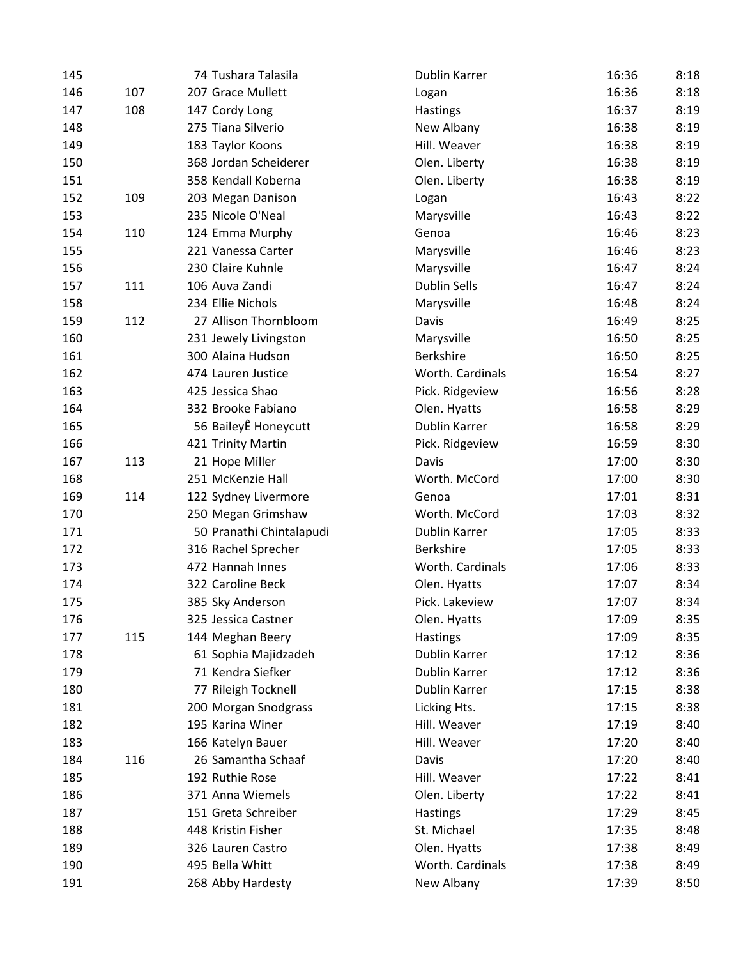| 145 |     | 74 Tushara Talasila      | Dublin Karrer       | 16:36 | 8:18 |
|-----|-----|--------------------------|---------------------|-------|------|
| 146 | 107 | 207 Grace Mullett        | Logan               | 16:36 | 8:18 |
| 147 | 108 | 147 Cordy Long           | <b>Hastings</b>     | 16:37 | 8:19 |
| 148 |     | 275 Tiana Silverio       | New Albany          | 16:38 | 8:19 |
| 149 |     | 183 Taylor Koons         | Hill. Weaver        | 16:38 | 8:19 |
| 150 |     | 368 Jordan Scheiderer    | Olen. Liberty       | 16:38 | 8:19 |
| 151 |     | 358 Kendall Koberna      | Olen. Liberty       | 16:38 | 8:19 |
| 152 | 109 | 203 Megan Danison        | Logan               | 16:43 | 8:22 |
| 153 |     | 235 Nicole O'Neal        | Marysville          | 16:43 | 8:22 |
| 154 | 110 | 124 Emma Murphy          | Genoa               | 16:46 | 8:23 |
| 155 |     | 221 Vanessa Carter       | Marysville          | 16:46 | 8:23 |
| 156 |     | 230 Claire Kuhnle        | Marysville          | 16:47 | 8:24 |
| 157 | 111 | 106 Auva Zandi           | <b>Dublin Sells</b> | 16:47 | 8:24 |
| 158 |     | 234 Ellie Nichols        | Marysville          | 16:48 | 8:24 |
| 159 | 112 | 27 Allison Thornbloom    | Davis               | 16:49 | 8:25 |
| 160 |     | 231 Jewely Livingston    | Marysville          | 16:50 | 8:25 |
| 161 |     | 300 Alaina Hudson        | <b>Berkshire</b>    | 16:50 | 8:25 |
| 162 |     | 474 Lauren Justice       | Worth. Cardinals    | 16:54 | 8:27 |
| 163 |     | 425 Jessica Shao         | Pick. Ridgeview     | 16:56 | 8:28 |
| 164 |     | 332 Brooke Fabiano       | Olen. Hyatts        | 16:58 | 8:29 |
| 165 |     | 56 BaileyÊ Honeycutt     | Dublin Karrer       | 16:58 | 8:29 |
| 166 |     | 421 Trinity Martin       | Pick. Ridgeview     | 16:59 | 8:30 |
| 167 | 113 | 21 Hope Miller           | Davis               | 17:00 | 8:30 |
| 168 |     | 251 McKenzie Hall        | Worth. McCord       | 17:00 | 8:30 |
| 169 | 114 | 122 Sydney Livermore     | Genoa               | 17:01 | 8:31 |
| 170 |     | 250 Megan Grimshaw       | Worth. McCord       | 17:03 | 8:32 |
| 171 |     | 50 Pranathi Chintalapudi | Dublin Karrer       | 17:05 | 8:33 |
| 172 |     | 316 Rachel Sprecher      | <b>Berkshire</b>    | 17:05 | 8:33 |
| 173 |     | 472 Hannah Innes         | Worth. Cardinals    | 17:06 | 8:33 |
| 174 |     | 322 Caroline Beck        | Olen. Hyatts        | 17:07 | 8:34 |
| 175 |     | 385 Sky Anderson         | Pick. Lakeview      | 17:07 | 8:34 |
| 176 |     | 325 Jessica Castner      | Olen. Hyatts        | 17:09 | 8:35 |
| 177 | 115 | 144 Meghan Beery         | <b>Hastings</b>     | 17:09 | 8:35 |
| 178 |     | 61 Sophia Majidzadeh     | Dublin Karrer       | 17:12 | 8:36 |
| 179 |     | 71 Kendra Siefker        | Dublin Karrer       | 17:12 | 8:36 |
| 180 |     | 77 Rileigh Tocknell      | Dublin Karrer       | 17:15 | 8:38 |
| 181 |     | 200 Morgan Snodgrass     | Licking Hts.        | 17:15 | 8:38 |
| 182 |     | 195 Karina Winer         | Hill. Weaver        | 17:19 | 8:40 |
| 183 |     | 166 Katelyn Bauer        | Hill. Weaver        | 17:20 | 8:40 |
| 184 | 116 | 26 Samantha Schaaf       | Davis               | 17:20 | 8:40 |
| 185 |     | 192 Ruthie Rose          | Hill. Weaver        | 17:22 | 8:41 |
| 186 |     | 371 Anna Wiemels         | Olen. Liberty       | 17:22 | 8:41 |
| 187 |     | 151 Greta Schreiber      | Hastings            | 17:29 | 8:45 |
| 188 |     | 448 Kristin Fisher       | St. Michael         | 17:35 | 8:48 |
| 189 |     | 326 Lauren Castro        | Olen. Hyatts        | 17:38 | 8:49 |
| 190 |     | 495 Bella Whitt          | Worth. Cardinals    | 17:38 | 8:49 |
| 191 |     | 268 Abby Hardesty        | New Albany          | 17:39 | 8:50 |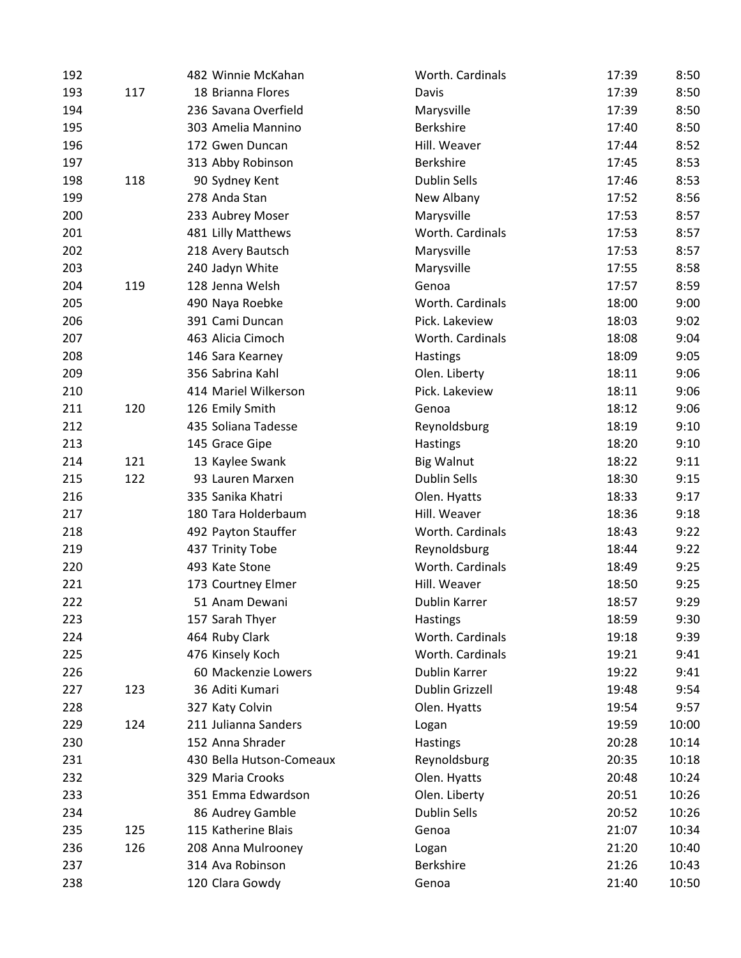| 192 |     | 482 Winnie McKahan       | Worth. Cardinals    | 17:39 | 8:50  |
|-----|-----|--------------------------|---------------------|-------|-------|
| 193 | 117 | 18 Brianna Flores        | Davis               | 17:39 | 8:50  |
| 194 |     | 236 Savana Overfield     | Marysville          | 17:39 | 8:50  |
| 195 |     | 303 Amelia Mannino       | Berkshire           | 17:40 | 8:50  |
| 196 |     | 172 Gwen Duncan          | Hill. Weaver        | 17:44 | 8:52  |
| 197 |     | 313 Abby Robinson        | <b>Berkshire</b>    | 17:45 | 8:53  |
| 198 | 118 | 90 Sydney Kent           | <b>Dublin Sells</b> | 17:46 | 8:53  |
| 199 |     | 278 Anda Stan            | New Albany          | 17:52 | 8:56  |
| 200 |     | 233 Aubrey Moser         | Marysville          | 17:53 | 8:57  |
| 201 |     | 481 Lilly Matthews       | Worth. Cardinals    | 17:53 | 8:57  |
| 202 |     | 218 Avery Bautsch        | Marysville          | 17:53 | 8:57  |
| 203 |     | 240 Jadyn White          | Marysville          | 17:55 | 8:58  |
| 204 | 119 | 128 Jenna Welsh          | Genoa               | 17:57 | 8:59  |
| 205 |     | 490 Naya Roebke          | Worth. Cardinals    | 18:00 | 9:00  |
| 206 |     | 391 Cami Duncan          | Pick. Lakeview      | 18:03 | 9:02  |
| 207 |     | 463 Alicia Cimoch        | Worth. Cardinals    | 18:08 | 9:04  |
| 208 |     | 146 Sara Kearney         | Hastings            | 18:09 | 9:05  |
| 209 |     | 356 Sabrina Kahl         | Olen. Liberty       | 18:11 | 9:06  |
| 210 |     | 414 Mariel Wilkerson     | Pick. Lakeview      | 18:11 | 9:06  |
| 211 | 120 | 126 Emily Smith          | Genoa               | 18:12 | 9:06  |
| 212 |     | 435 Soliana Tadesse      | Reynoldsburg        | 18:19 | 9:10  |
| 213 |     | 145 Grace Gipe           | Hastings            | 18:20 | 9:10  |
| 214 | 121 | 13 Kaylee Swank          | <b>Big Walnut</b>   | 18:22 | 9:11  |
| 215 | 122 | 93 Lauren Marxen         | Dublin Sells        | 18:30 | 9:15  |
| 216 |     | 335 Sanika Khatri        | Olen. Hyatts        | 18:33 | 9:17  |
| 217 |     | 180 Tara Holderbaum      | Hill. Weaver        | 18:36 | 9:18  |
| 218 |     | 492 Payton Stauffer      | Worth. Cardinals    | 18:43 | 9:22  |
| 219 |     | 437 Trinity Tobe         | Reynoldsburg        | 18:44 | 9:22  |
| 220 |     | 493 Kate Stone           | Worth. Cardinals    | 18:49 | 9:25  |
| 221 |     | 173 Courtney Elmer       | Hill. Weaver        | 18:50 | 9:25  |
| 222 |     | 51 Anam Dewani           | Dublin Karrer       | 18:57 | 9:29  |
| 223 |     | 157 Sarah Thyer          | Hastings            | 18:59 | 9:30  |
| 224 |     | 464 Ruby Clark           | Worth. Cardinals    | 19:18 | 9:39  |
| 225 |     | 476 Kinsely Koch         | Worth. Cardinals    | 19:21 | 9:41  |
| 226 |     | 60 Mackenzie Lowers      | Dublin Karrer       | 19:22 | 9:41  |
| 227 | 123 | 36 Aditi Kumari          | Dublin Grizzell     | 19:48 | 9:54  |
| 228 |     | 327 Katy Colvin          | Olen. Hyatts        | 19:54 | 9:57  |
| 229 | 124 | 211 Julianna Sanders     | Logan               | 19:59 | 10:00 |
| 230 |     | 152 Anna Shrader         | Hastings            | 20:28 | 10:14 |
| 231 |     | 430 Bella Hutson-Comeaux | Reynoldsburg        | 20:35 | 10:18 |
| 232 |     | 329 Maria Crooks         | Olen. Hyatts        | 20:48 | 10:24 |
| 233 |     | 351 Emma Edwardson       | Olen. Liberty       | 20:51 | 10:26 |
| 234 |     | 86 Audrey Gamble         | <b>Dublin Sells</b> | 20:52 | 10:26 |
| 235 | 125 | 115 Katherine Blais      | Genoa               | 21:07 | 10:34 |
| 236 | 126 | 208 Anna Mulrooney       | Logan               | 21:20 | 10:40 |
| 237 |     | 314 Ava Robinson         | Berkshire           | 21:26 | 10:43 |
| 238 |     | 120 Clara Gowdy          | Genoa               | 21:40 | 10:50 |